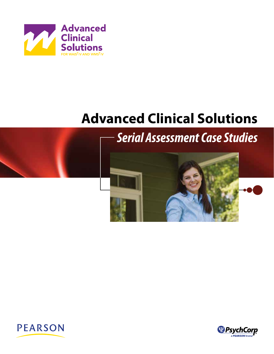

# **Advanced Clinical Solutions**



## *Serial Assessment Case Studies*





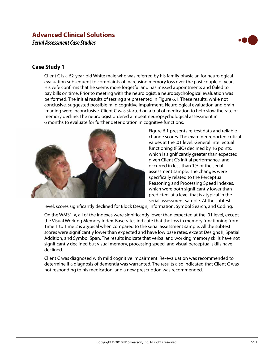## **Advanced Clinical Solutions**  *Serial Assessment Case Studies*

### **Case Study 1**

Client C is a 62-year-old White male who was referred by his family physician for neurological evaluation subsequent to complaints of increasing memory loss over the past couple of years. His wife confirms that he seems more forgetful and has missed appointments and failed to pay bills on time. Prior to meeting with the neurologist, a neuropsychological evaluation was performed. The initial results of testing are presented in Figure 6.1. These results, while not conclusive, suggested possible mild cognitive impairment. Neurological evaluation and brain imaging were inconclusive. Client C was started on a trial of medication to help slow the rate of memory decline. The neurologist ordered a repeat neuropsychological assessment in 6 months to evaluate for further deterioration in cognitive functions.



Figure 6.1 presents re-test data and reliable change scores. The examiner reported critical values at the .01 level. General intellectual functioning (FSIQ) declined by 16 points, which is significantly greater than expected, given Client C's initial performance, and occurred in less than 1% of the serial assessment sample. The changes were specifically related to the Perceptual Reasoning and Processing Speed Indexes, which were both significantly lower than predicted, at a level that is atypical in the serial assessment sample. At the subtest

level, scores significantly declined for Block Design, Information, Symbol Search, and Coding.

On the WMS<sup>®</sup>-IV, all of the indexes were significantly lower than expected at the .01 level, except the Visual Working Memory Index. Base rates indicate that the loss in memory functioning from Time 1 to Time 2 is atypical when compared to the serial assessment sample. All the subtest scores were significantly lower than expected and have low base rates, except Designs II, Spatial Addition, and Symbol Span. The results indicate that verbal and working memory skills have not significantly declined but visual memory, processing speed, and visual perceptual skills have declined.

Client C was diagnosed with mild cognitive impairment. Re-evaluation was recommended to determine if a diagnosis of dementia was warranted. The results also indicated that Client C was not responding to his medication, and a new prescription was recommended.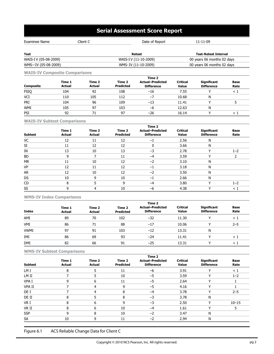## **Serial Assessment Score Report**

| Client C<br>Examinee Name |  | Date of Report        | 11-11-09                    |
|---------------------------|--|-----------------------|-----------------------------|
|                           |  |                       |                             |
| <b>Test</b>               |  | Retest                | <b>Test-Retest Interval</b> |
| WAIS-I V (05-08-2009)     |  | WAIS-I V (11-10-2009) | 00 years 06 months 02 days  |
| WMS--IV (05-08-2009)      |  | WMS-IV (11-10-2009)   | 00 years 06 months 02 days  |
|                           |  |                       |                             |

**WAIS-IV Composite Comparisons**

|             |                         | Time 2                  |                            |                                              |                          |                                         |                     |  |  |  |  |  |
|-------------|-------------------------|-------------------------|----------------------------|----------------------------------------------|--------------------------|-----------------------------------------|---------------------|--|--|--|--|--|
| Composite   | Time 1<br><b>Actual</b> | Time 2<br><b>Actual</b> | Time 2<br><b>Predicted</b> | <b>Actual-Predicted</b><br><b>Difference</b> | <b>Critical</b><br>Value | <b>Significant</b><br><b>Difference</b> | <b>Base</b><br>Rate |  |  |  |  |  |
| <b>FSIQ</b> | 104                     | 92                      | 108                        | $-16$                                        | 7.55                     |                                         | < .                 |  |  |  |  |  |
| VCI         | 110                     | 105                     | 112                        | $-7$                                         | 10.68                    | N                                       |                     |  |  |  |  |  |
| PRI         | 104                     | 96                      | 109                        | $-13$                                        | 11.41                    |                                         |                     |  |  |  |  |  |
| <b>WMI</b>  | 105                     | 97                      | 103                        | -6                                           | 12.63                    | N                                       |                     |  |  |  |  |  |
| PSI         | 92                      | 71                      | 97                         | $-26$                                        | 16.14                    |                                         |                     |  |  |  |  |  |

#### **WAIS-IV Subtest Comparisons**

| <b>Subtest</b> | Time 1<br><b>Actual</b> | Time 2<br><b>Actual</b> | Time 2<br><b>Predicted</b> | Time 2<br><b>Actual-Predicted</b><br><b>Difference</b> | <b>Critical</b><br>Value | <b>Significant</b><br><b>Difference</b> | <b>Base</b><br>Rate |
|----------------|-------------------------|-------------------------|----------------------------|--------------------------------------------------------|--------------------------|-----------------------------------------|---------------------|
| VC             | 12                      | 11                      | 12                         | $-1$                                                   | 2.56                     | N                                       |                     |
| SI             | 11                      | 12                      | 12                         |                                                        | 3.66                     | N                                       |                     |
| IN             | 13                      | 10                      | 13                         | $-3$                                                   | 2.78                     | $\checkmark$                            | $1 - 2$             |
| <b>BD</b>      | 9                       |                         | 11                         |                                                        | 3.59                     | $\checkmark$                            | h                   |
| MR             | 11                      | 10                      | 12                         | $-2$                                                   | 3.10                     | N                                       |                     |
| VP             | 12                      | 11                      | 12                         | $-1$                                                   | 3.18                     | N                                       |                     |
| AR             | 12                      | 10                      | 12                         | $-2$                                                   | 3.50                     | N                                       |                     |
| DS             | 10                      | 9                       | 10                         | $-1$                                                   | 2.66                     | N                                       |                     |
| CD             | 8                       | 5                       | 9                          | -4                                                     | 3.80                     | $\checkmark$                            | $1 - 2$             |
| SS             | 9                       | 4                       | 10                         | $-6$                                                   | 4.38                     | $\checkmark$                            | $\leq 1$            |

#### **WMS-IV Index Comparisons**

|              | Time 2                  |                         |                            |                                              |                                 |                                         |                     |  |  |  |  |
|--------------|-------------------------|-------------------------|----------------------------|----------------------------------------------|---------------------------------|-----------------------------------------|---------------------|--|--|--|--|
| <b>Index</b> | Time 1<br><b>Actual</b> | Time 2<br><b>Actual</b> | Time 2<br><b>Predicted</b> | <b>Actual-Predicted</b><br><b>Difference</b> | <b>Critical</b><br><b>Value</b> | <b>Significant</b><br><b>Difference</b> | <b>Base</b><br>Rate |  |  |  |  |
| AMI          | 89                      | 70                      | 102                        | $-32$                                        | 11.30                           | $\check{ }$                             | $\leq$ 1            |  |  |  |  |
| <b>VMI</b>   | 86                      | 71                      | 88                         | $-17$                                        | 10.06                           | ν                                       | $2 - 5$             |  |  |  |  |
| <b>VWMI</b>  | 97                      | 91                      | 103                        | $-12$                                        | 13.31                           | N                                       |                     |  |  |  |  |
| IMI          | 86                      | 69                      | 93                         | $-24$                                        | 11.41                           | ν                                       | < ]                 |  |  |  |  |
| <b>DMI</b>   | 82                      | 66                      | 91                         | $-25$                                        | 13.31                           | $\check{ }$                             | ⊂ 1                 |  |  |  |  |

**WMS-IV Subtest Comparisons**

| <b>Subtest</b> | Time 1<br><b>Actual</b> | Time 2<br><b>Actual</b> | Time 2<br><b>Predicted</b> | Time 2<br><b>Actual-Predicted</b><br><b>Difference</b> | <b>Critical</b><br>Value | <b>Significant</b><br><b>Difference</b> | <b>Base</b><br>Rate |
|----------------|-------------------------|-------------------------|----------------------------|--------------------------------------------------------|--------------------------|-----------------------------------------|---------------------|
| LM I           | 8                       |                         | 11                         | $-6$                                                   | 3.91                     | v                                       | $\leq 1$            |
| LM II          |                         |                         | 10                         | $-5$                                                   | 3.59                     | ν                                       | $1 - 2$             |
| VPA I          | ٩                       | 6                       | 11                         | $-5$                                                   | 2.64                     | ν                                       |                     |
| VPA II         |                         |                         | 9                          | $-5$                                                   | 4.16                     | $\checkmark$                            |                     |
| DE I           |                         | 4                       | 8                          | -4                                                     | 3.78                     | v                                       | $2 - 5$             |
| DE II          | 8                       | 5                       | 8                          | $-3$                                                   | 3.78                     | N                                       |                     |
| VR I           | 8                       | 6                       | 9                          | $-3$                                                   | 2.50                     | v                                       | $10 - 15$           |
| VR II          | 8                       | 6                       | 10                         | -4                                                     | 1.61                     | v                                       | 5                   |
| <b>SSP</b>     | 9                       | 8                       | 10                         | $-2$                                                   | 3.47                     | N                                       |                     |
| SA             | 10                      | 9                       | 11                         | $-2$                                                   | 2.94                     | N                                       |                     |

Figure 6.1 ACS Reliable Change Data for Client C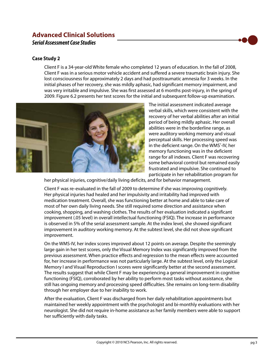## **Advanced Clinical Solutions**  *Serial Assessment Case Studies*

#### **Case Study 2**

Client F is a 34-year-old White female who completed 12 years of education. In the fall of 2008, Client F was in a serious motor vehicle accident and suffered a severe traumatic brain injury. She lost consciousness for approximately 2 days and had posttraumatic amnesia for 3 weeks. In the initial phases of her recovery, she was mildly aphasic, had significant memory impairment, and was very irritable and impulsive. She was first assessed at 6 months post-injury, in the spring of 2009. Figure 6.2 presents her test scores for the initial and subsequent follow-up examination.



The initial assessment indicated average verbal skills, which were consistent with the recovery of her verbal abilities after an initial period of being mildly aphasic. Her overall abilities were in the borderline range, as were auditory working memory and visual perceptual skills. Her processing speed was in the deficient range. On the WMS<sup>®</sup>-IV, her memory functioning was in the deficient range for all indexes. Client F was recovering some behavioral control but remained easily frustrated and impulsive. She continued to participate in her rehabilitation program for

her physical injuries, cognitive/daily living deficits, and for behavior management.

Client F was re-evaluated in the fall of 2009 to determine if she was improving cognitively. Her physical injuries had healed and her impulsivity and irritability had improved with medication treatment. Overall, she was functioning better at home and able to take care of most of her own daily living needs. She still required some direction and assistance when cooking, shopping, and washing clothes. The results of her evaluation indicated a significant improvement (.05 level) in overall intellectual functioning (FSIQ). The increase in performance is observed in 5% of the serial assessment sample. At the index level, she showed significant improvement in auditory working memory. At the subtest level, she did not show significant improvement.

On the WMS-IV, her index scores improved about 12 points on average. Despite the seemingly large gain in her test scores, only the Visual Memory Index was significantly improved from the previous assessment. When practice effects and regression to the mean effects were accounted for, her increase in performance was not particularly large. At the subtest level, only the Logical Memory I and Visual Reproduction I scores were significantly better at the second assessment. The results suggest that while Client F may be experiencing a general improvement in cognitive functioning (FSIQ), corroborated by her ability to perform most tasks without assistance, she still has ongoing memory and processing speed difficulties. She remains on long-term disability through her employer due to her inability to work.

After the evaluation, Client F was discharged from her daily rehabilitation appointments but maintained her weekly appointment with the psychologist and bi-monthly evaluations with her neurologist. She did not require in-home assistance as her family members were able to support her sufficiently with daily tasks.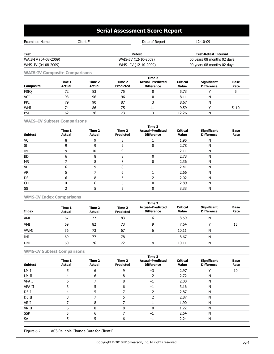## **Serial Assessment Score Report**

| Client F<br>Examinee Name |  | Date of Report        | 12-10-09                    |
|---------------------------|--|-----------------------|-----------------------------|
|                           |  |                       |                             |
| Test                      |  | Retest                | <b>Test-Retest Interval</b> |
| WAIS-I V (04-08-2009)     |  | WAIS-I V (12-10-2009) | 00 years 08 months 02 days  |
| WMS-IV (04-08-2009)       |  | WMS--IV (12-10-2009)  | 00 years 08 months 02 days  |

**WAIS-IV Composite Comparisons**

|                  | Time 2                  |                         |                            |                                              |                          |                                  |                     |  |  |  |  |
|------------------|-------------------------|-------------------------|----------------------------|----------------------------------------------|--------------------------|----------------------------------|---------------------|--|--|--|--|
| <b>Composite</b> | Time 1<br><b>Actual</b> | Time 2<br><b>Actual</b> | Time 2<br><b>Predicted</b> | <b>Actual-Predicted</b><br><b>Difference</b> | Critical<br><b>Value</b> | Significant<br><b>Difference</b> | <b>Base</b><br>Rate |  |  |  |  |
| <b>FSIQ</b>      | 72                      | 83                      | 75                         |                                              | 5.73                     |                                  |                     |  |  |  |  |
| VCI              | 93                      | 96                      | 96                         |                                              | 8.11                     | N                                |                     |  |  |  |  |
| PRI              | 79                      | 90                      | 87                         |                                              | 8.67                     | Ν                                |                     |  |  |  |  |
| <b>WMI</b>       | 74                      | 86                      | 75                         | 11                                           | 9.59                     |                                  | $5 - 10$            |  |  |  |  |
| PSI              | 62                      | 76                      | 73                         |                                              | 12.26                    | N                                |                     |  |  |  |  |

#### **WAIS–IV Subtest Comparisons**

|                | Time 1        | Time 2        | Time 2           | Time 2<br><b>Actual-Predicted</b> | <b>Critical</b> | <b>Significant</b> | Base |
|----------------|---------------|---------------|------------------|-----------------------------------|-----------------|--------------------|------|
| <b>Subtest</b> | <b>Actual</b> | <b>Actual</b> | <b>Predicted</b> | <b>Difference</b>                 | Value           | <b>Difference</b>  | Rate |
| VC             |               |               | 8                |                                   | 1.95            | N                  |      |
| SI             |               |               |                  |                                   | 2.78            | N                  |      |
| IN             |               | 10            |                  |                                   | 2.11            | N                  |      |
| <b>BD</b>      |               | 8             |                  |                                   | 2.73            | N                  |      |
| <b>MR</b>      |               |               |                  |                                   | 2.36            | N                  |      |
| VP             |               | q             | 8                |                                   | 2.41            | N                  |      |
| AR             |               |               | 6                |                                   | 2.66            | N                  |      |
| <b>DS</b>      |               |               | 6                |                                   | 2.02            | Ν                  |      |
| CD             |               | 6             | 6                |                                   | 2.89            | Ν                  |      |
| SS             |               |               |                  |                                   | 3.33            | Ν                  |      |

#### **WMS-IV Index Comparisons**

|              | Time 2                  |                         |                            |                                              |                                 |                                         |                     |  |  |  |  |
|--------------|-------------------------|-------------------------|----------------------------|----------------------------------------------|---------------------------------|-----------------------------------------|---------------------|--|--|--|--|
| <b>Index</b> | Time 1<br><b>Actual</b> | Time 2<br><b>Actual</b> | Time 2<br><b>Predicted</b> | <b>Actual-Predicted</b><br><b>Difference</b> | <b>Critical</b><br><b>Value</b> | <b>Significant</b><br><b>Difference</b> | <b>Base</b><br>Rate |  |  |  |  |
| AMI          | 67                      | 77                      | 83                         | -6                                           | 8.59                            | N                                       |                     |  |  |  |  |
| VMI          | 69                      | 82                      | 73                         | 9                                            | 7.64                            | ν                                       | 15                  |  |  |  |  |
| <b>VWMI</b>  | 56                      | 73                      | 67                         | 6                                            | 10.11                           | N                                       |                     |  |  |  |  |
| IMI          | 69                      | 77                      | 78                         | -1                                           | 8.67                            | N                                       |                     |  |  |  |  |
| <b>DMI</b>   | 60                      | 76                      | 72                         | 4                                            | 10.11                           | N                                       |                     |  |  |  |  |

#### **WMS-IV Subtest Comparisons**

|                |                         |                         |                            | Time 2                                       |                          |                                         |                     |
|----------------|-------------------------|-------------------------|----------------------------|----------------------------------------------|--------------------------|-----------------------------------------|---------------------|
| <b>Subtest</b> | Time 1<br><b>Actual</b> | Time 2<br><b>Actual</b> | Time 2<br><b>Predicted</b> | <b>Actual-Predicted</b><br><b>Difference</b> | <b>Critical</b><br>Value | <b>Significant</b><br><b>Difference</b> | <b>Base</b><br>Rate |
| LM I           | 5                       | 6                       | 9                          | $-3$                                         | 2.97                     | $\checkmark$                            | 10                  |
| LM II          |                         | 6                       | 8                          | $-2$                                         | 2.72                     | N                                       |                     |
| VPA I          | 6                       |                         | 8                          | $-1$                                         | 2.00                     | N                                       |                     |
| VPA II         |                         |                         | 6                          | $-1$                                         | 3.16                     | N                                       |                     |
| DE I           | 4                       |                         |                            | $-2$                                         | 2.87                     | N                                       |                     |
| DE II          |                         |                         |                            |                                              | 2.87                     | N                                       |                     |
| VR I           |                         | 8                       |                            |                                              | 1.90                     | N                                       |                     |
| VR II          | 6                       | 8                       | 8                          |                                              | 1.22                     | N                                       |                     |
| <b>SSP</b>     |                         | 6                       |                            | $-1$                                         | 2.64                     | N                                       |                     |
| SA             |                         | 5                       | 6                          | $^{-1}$                                      | 2.24                     | N                                       |                     |

Figure 6.2 ACS Reliable Change Data for Client F